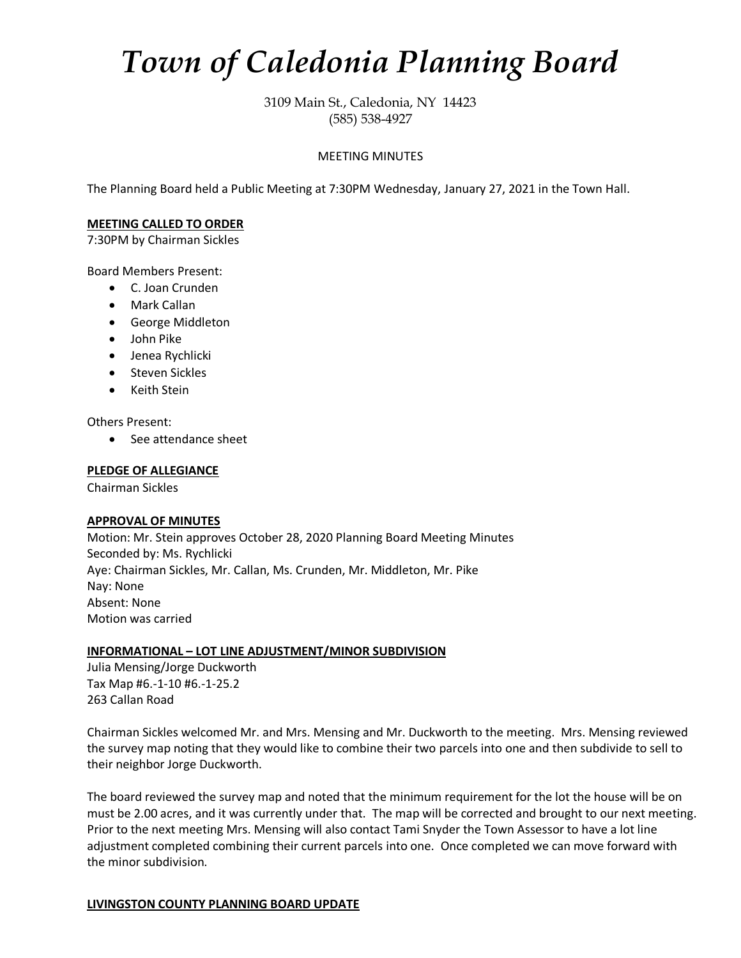# *Town of Caledonia Planning Board*

3109 Main St., Caledonia, NY 14423 (585) 538-4927

## MEETING MINUTES

The Planning Board held a Public Meeting at 7:30PM Wednesday, January 27, 2021 in the Town Hall.

#### **MEETING CALLED TO ORDER**

7:30PM by Chairman Sickles

Board Members Present:

- C. Joan Crunden
- Mark Callan
- George Middleton
- John Pike
- Jenea Rychlicki
- Steven Sickles
- Keith Stein

Others Present:

• See attendance sheet

#### **PLEDGE OF ALLEGIANCE**

Chairman Sickles

#### **APPROVAL OF MINUTES**

Motion: Mr. Stein approves October 28, 2020 Planning Board Meeting Minutes Seconded by: Ms. Rychlicki Aye: Chairman Sickles, Mr. Callan, Ms. Crunden, Mr. Middleton, Mr. Pike Nay: None Absent: None Motion was carried

#### **INFORMATIONAL – LOT LINE ADJUSTMENT/MINOR SUBDIVISION**

Julia Mensing/Jorge Duckworth Tax Map #6.-1-10 #6.-1-25.2 263 Callan Road

Chairman Sickles welcomed Mr. and Mrs. Mensing and Mr. Duckworth to the meeting. Mrs. Mensing reviewed the survey map noting that they would like to combine their two parcels into one and then subdivide to sell to their neighbor Jorge Duckworth.

The board reviewed the survey map and noted that the minimum requirement for the lot the house will be on must be 2.00 acres, and it was currently under that. The map will be corrected and brought to our next meeting. Prior to the next meeting Mrs. Mensing will also contact Tami Snyder the Town Assessor to have a lot line adjustment completed combining their current parcels into one. Once completed we can move forward with the minor subdivision.

# **LIVINGSTON COUNTY PLANNING BOARD UPDATE**